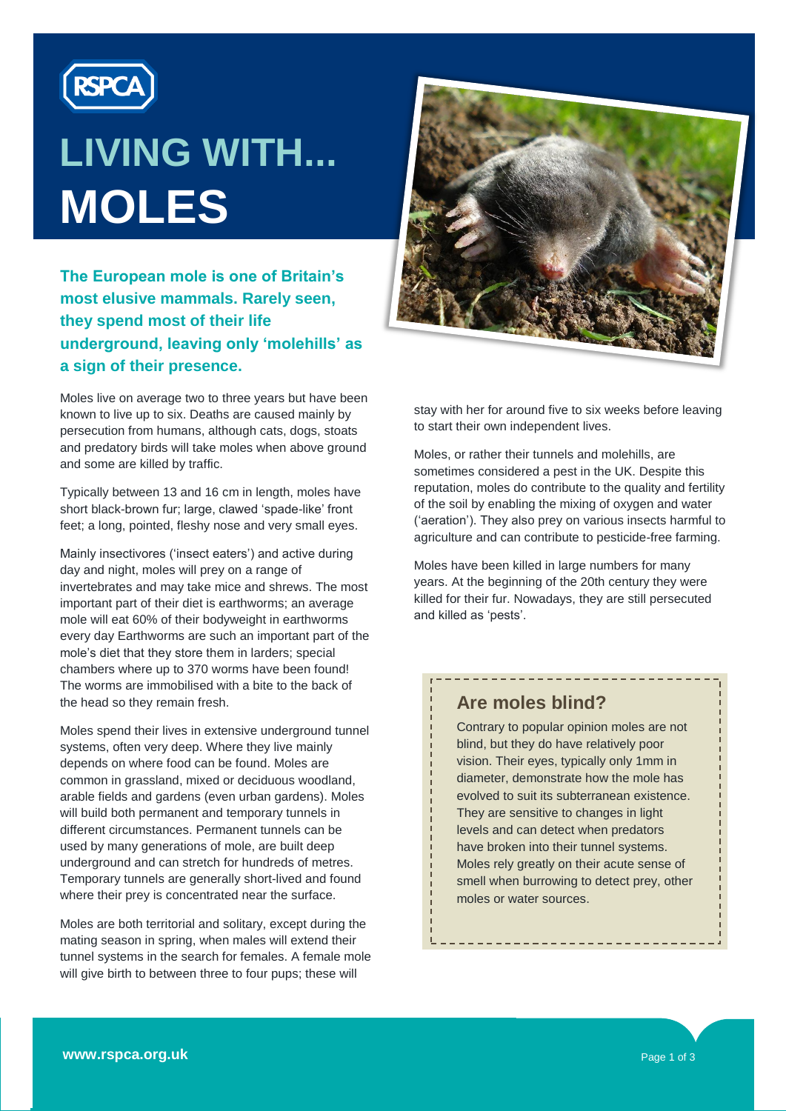

# **LIVING WITH... MOLES**

**The European mole is one of Britain's most elusive mammals. Rarely seen, they spend most of their life underground, leaving only 'molehills' as a sign of their presence.**

Moles live on average two to three years but have been known to live up to six. Deaths are caused mainly by persecution from humans, although cats, dogs, stoats and predatory birds will take moles when above ground and some are killed by traffic.

Typically between 13 and 16 cm in length, moles have short black-brown fur; large, clawed 'spade-like' front feet; a long, pointed, fleshy nose and very small eyes.

Mainly insectivores ('insect eaters') and active during day and night, moles will prey on a range of invertebrates and may take mice and shrews. The most important part of their diet is earthworms; an average mole will eat 60% of their bodyweight in earthworms every day Earthworms are such an important part of the mole's diet that they store them in larders; special chambers where up to 370 worms have been found! The worms are immobilised with a bite to the back of the head so they remain fresh.

Moles spend their lives in extensive underground tunnel systems, often very deep. Where they live mainly depends on where food can be found. Moles are common in grassland, mixed or deciduous woodland, arable fields and gardens (even urban gardens). Moles will build both permanent and temporary tunnels in different circumstances. Permanent tunnels can be used by many generations of mole, are built deep underground and can stretch for hundreds of metres. Temporary tunnels are generally short-lived and found where their prey is concentrated near the surface.

Moles are both territorial and solitary, except during the mating season in spring, when males will extend their tunnel systems in the search for females. A female mole will give birth to between three to four pups; these will



stay with her for around five to six weeks before leaving to start their own independent lives.

Moles, or rather their tunnels and molehills, are sometimes considered a pest in the UK. Despite this reputation, moles do contribute to the quality and fertility of the soil by enabling the mixing of oxygen and water ('aeration'). They also prey on various insects harmful to agriculture and can contribute to pesticide-free farming.

Moles have been killed in large numbers for many years. At the beginning of the 20th century they were killed for their fur. Nowadays, they are still persecuted and killed as 'pests'.

## **Are moles blind?**

Contrary to popular opinion moles are not blind, but they do have relatively poor vision. Their eyes, typically only 1mm in diameter, demonstrate how the mole has evolved to suit its subterranean existence. They are sensitive to changes in light levels and can detect when predators have broken into their tunnel systems. Moles rely greatly on their acute sense of smell when burrowing to detect prey, other moles or water sources.

--------------------------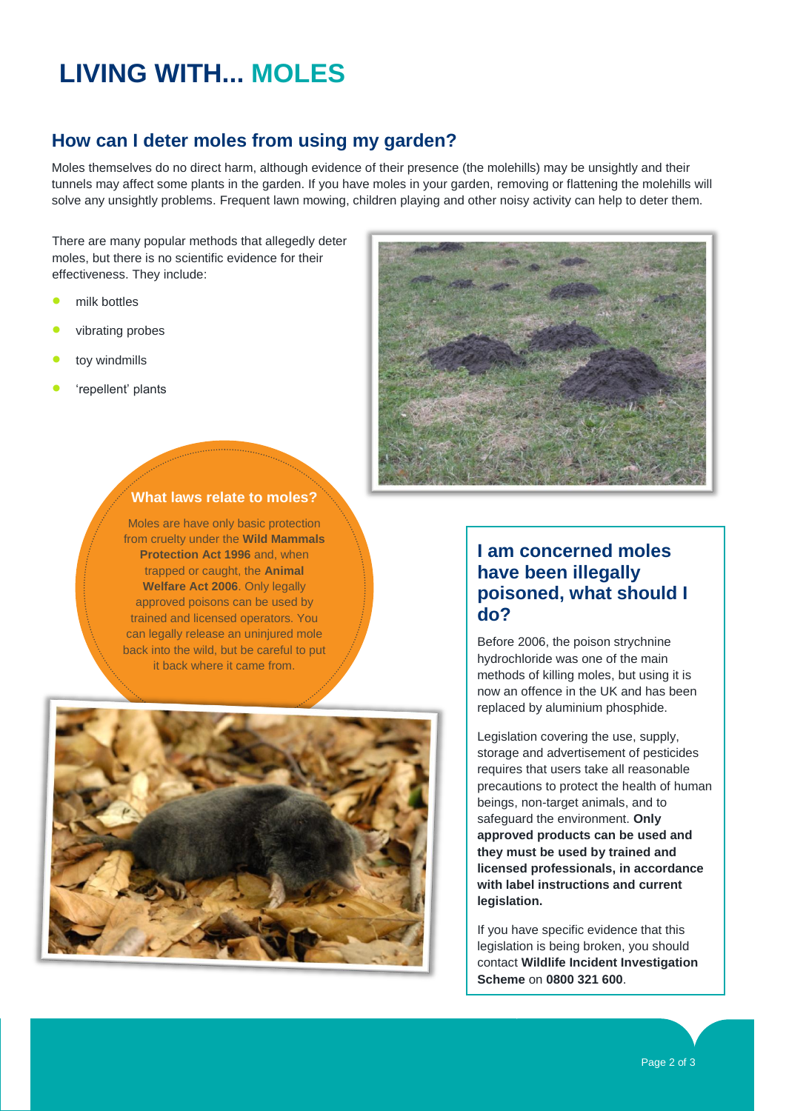# **LIVING WITH... MOLES**

### **How can I deter moles from using my garden?**

Moles themselves do no direct harm, although evidence of their presence (the molehills) may be unsightly and their tunnels may affect some plants in the garden. If you have moles in your garden, removing or flattening the molehills will solve any unsightly problems. Frequent lawn mowing, children playing and other noisy activity can help to deter them.

There are many popular methods that allegedly deter moles, but there is no scientific evidence for their effectiveness. They include:

- milk bottles
- vibrating probes
- toy windmills
- 'repellent' plants



#### **What laws relate to moles?**

Moles are have only basic protection from cruelty under the **Wild Mammals Protection Act 1996** and, when trapped or caught, the **Animal Welfare Act 2006**. Only legally approved poisons can be used by trained and licensed operators. You can legally release an uninjured mole back into the wild, but be careful to put it back where it came from.



# **I am concerned moles have been illegally poisoned, what should I do?**

Before 2006, the poison strychnine hydrochloride was one of the main methods of killing moles, but using it is now an offence in the UK and has been replaced by aluminium phosphide.

Legislation covering the use, supply, storage and advertisement of pesticides requires that users take all reasonable precautions to protect the health of human beings, non-target animals, and to safeguard the environment. **Only approved products can be used and they must be used by trained and licensed professionals, in accordance with label instructions and current legislation.** 

If you have specific evidence that this legislation is being broken, you should contact **Wildlife Incident Investigation Scheme** on **0800 321 600**.